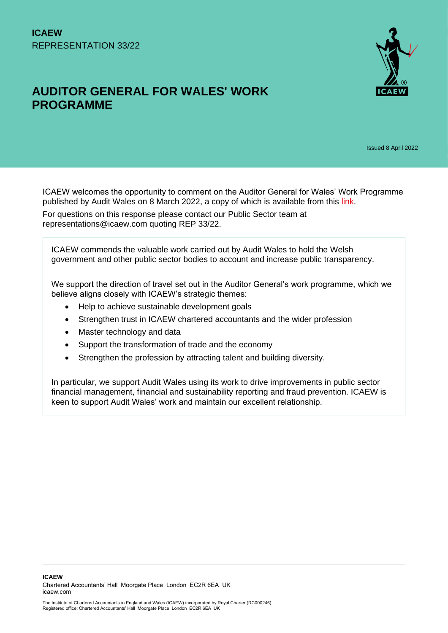# **AUDITOR GENERAL FOR WALES' WORK PROGRAMME**



Issued 8 April 2022

ICAEW welcomes the opportunity to comment on the Auditor General for Wales' Work Programme published by Audit Wales on 8 March 2022, a copy of which is available from this [link.](https://www.audit.wales/sites/default/files/2022-03/seeking_views_on_auditor_general_work_programme_english.pdf)

For questions on this response please contact our Public Sector team at representations@icaew.com quoting REP 33/22.

ICAEW commends the valuable work carried out by Audit Wales to hold the Welsh government and other public sector bodies to account and increase public transparency.

We support the direction of travel set out in the Auditor General's work programme, which we believe aligns closely with ICAEW's strategic themes:

- Help to achieve sustainable development goals
- Strengthen trust in ICAEW chartered accountants and the wider profession
- Master technology and data
- Support the transformation of trade and the economy
- Strengthen the profession by attracting talent and building diversity.

In particular, we support Audit Wales using its work to drive improvements in public sector financial management, financial and sustainability reporting and fraud prevention. ICAEW is keen to support Audit Wales' work and maintain our excellent relationship.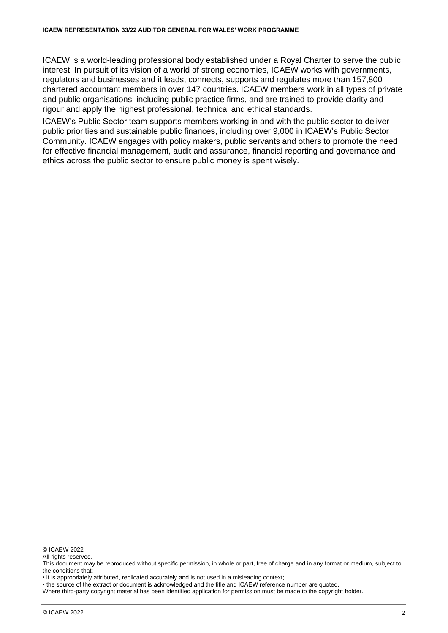ICAEW is a world-leading professional body established under a Royal Charter to serve the public interest. In pursuit of its vision of a world of strong economies, ICAEW works with governments, regulators and businesses and it leads, connects, supports and regulates more than 157,800 chartered accountant members in over 147 countries. ICAEW members work in all types of private and public organisations, including public practice firms, and are trained to provide clarity and rigour and apply the highest professional, technical and ethical standards.

ICAEW's Public Sector team supports members working in and with the public sector to deliver public priorities and sustainable public finances, including over 9,000 in ICAEW's Public Sector Community. ICAEW engages with policy makers, public servants and others to promote the need for effective financial management, audit and assurance, financial reporting and governance and ethics across the public sector to ensure public money is spent wisely.

© ICAEW 2022

All rights reserved.

• it is appropriately attributed, replicated accurately and is not used in a misleading context;

• the source of the extract or document is acknowledged and the title and ICAEW reference number are quoted.

Where third-party copyright material has been identified application for permission must be made to the copyright holder.

This document may be reproduced without specific permission, in whole or part, free of charge and in any format or medium, subject to the conditions that: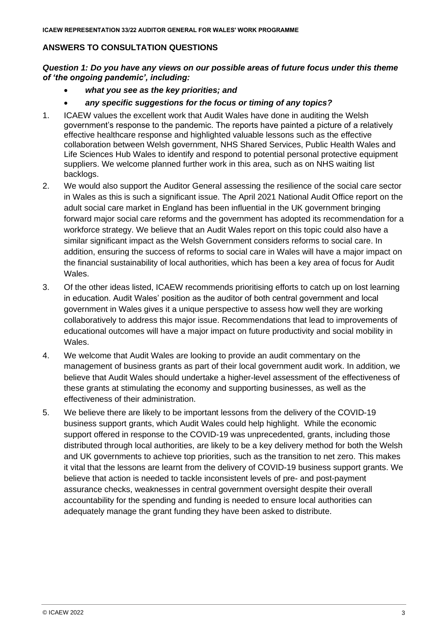# **ANSWERS TO CONSULTATION QUESTIONS**

*Question 1: Do you have any views on our possible areas of future focus under this theme of 'the ongoing pandemic', including:*

- *what you see as the key priorities; and*
- *any specific suggestions for the focus or timing of any topics?*
- 1. ICAEW values the excellent work that Audit Wales have done in auditing the Welsh government's response to the pandemic. The reports have painted a picture of a relatively effective healthcare response and highlighted valuable lessons such as the effective collaboration between Welsh government, NHS Shared Services, Public Health Wales and Life Sciences Hub Wales to identify and respond to potential personal protective equipment suppliers. We welcome planned further work in this area, such as on NHS waiting list backlogs.
- 2. We would also support the Auditor General assessing the resilience of the social care sector in Wales as this is such a significant issue. The April 2021 National Audit Office report on the adult social care market in England has been influential in the UK government bringing forward major social care reforms and the government has adopted its recommendation for a workforce strategy. We believe that an Audit Wales report on this topic could also have a similar significant impact as the Welsh Government considers reforms to social care. In addition, ensuring the success of reforms to social care in Wales will have a major impact on the financial sustainability of local authorities, which has been a key area of focus for Audit Wales.
- 3. Of the other ideas listed, ICAEW recommends prioritising efforts to catch up on lost learning in education. Audit Wales' position as the auditor of both central government and local government in Wales gives it a unique perspective to assess how well they are working collaboratively to address this major issue. Recommendations that lead to improvements of educational outcomes will have a major impact on future productivity and social mobility in Wales.
- 4. We welcome that Audit Wales are looking to provide an audit commentary on the management of business grants as part of their local government audit work. In addition, we believe that Audit Wales should undertake a higher-level assessment of the effectiveness of these grants at stimulating the economy and supporting businesses, as well as the effectiveness of their administration.
- 5. We believe there are likely to be important lessons from the delivery of the COVID-19 business support grants, which Audit Wales could help highlight. While the economic support offered in response to the COVID-19 was unprecedented, grants, including those distributed through local authorities, are likely to be a key delivery method for both the Welsh and UK governments to achieve top priorities, such as the transition to net zero. This makes it vital that the lessons are learnt from the delivery of COVID-19 business support grants. We believe that action is needed to tackle inconsistent levels of pre- and post-payment assurance checks, weaknesses in central government oversight despite their overall accountability for the spending and funding is needed to ensure local authorities can adequately manage the grant funding they have been asked to distribute.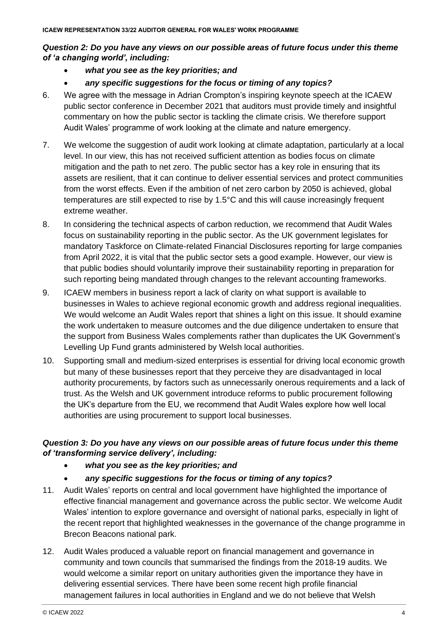### *Question 2: Do you have any views on our possible areas of future focus under this theme of 'a changing world', including:*

- *what you see as the key priorities; and*
- *any specific suggestions for the focus or timing of any topics?*
- 6. We agree with the message in Adrian Crompton's inspiring keynote speech at the ICAEW public sector conference in December 2021 that auditors must provide timely and insightful commentary on how the public sector is tackling the climate crisis. We therefore support Audit Wales' programme of work looking at the climate and nature emergency.
- 7. We welcome the suggestion of audit work looking at climate adaptation, particularly at a local level. In our view, this has not received sufficient attention as bodies focus on climate mitigation and the path to net zero. The public sector has a key role in ensuring that its assets are resilient, that it can continue to deliver essential services and protect communities from the worst effects. Even if the ambition of net zero carbon by 2050 is achieved, global temperatures are still expected to rise by 1.5°C and this will cause increasingly frequent extreme weather.
- 8. In considering the technical aspects of carbon reduction, we recommend that Audit Wales focus on sustainability reporting in the public sector. As the UK government legislates for mandatory Taskforce on Climate-related Financial Disclosures reporting for large companies from April 2022, it is vital that the public sector sets a good example. However, our view is that public bodies should voluntarily improve their sustainability reporting in preparation for such reporting being mandated through changes to the relevant accounting frameworks.
- 9. ICAEW members in business report a lack of clarity on what support is available to businesses in Wales to achieve regional economic growth and address regional inequalities. We would welcome an Audit Wales report that shines a light on this issue. It should examine the work undertaken to measure outcomes and the due diligence undertaken to ensure that the support from Business Wales complements rather than duplicates the UK Government's Levelling Up Fund grants administered by Welsh local authorities.
- 10. Supporting small and medium-sized enterprises is essential for driving local economic growth but many of these businesses report that they perceive they are disadvantaged in local authority procurements, by factors such as unnecessarily onerous requirements and a lack of trust. As the Welsh and UK government introduce reforms to public procurement following the UK's departure from the EU, we recommend that Audit Wales explore how well local authorities are using procurement to support local businesses.

# *Question 3: Do you have any views on our possible areas of future focus under this theme of 'transforming service delivery', including:*

- *what you see as the key priorities; and*
- *any specific suggestions for the focus or timing of any topics?*
- 11. Audit Wales' reports on central and local government have highlighted the importance of effective financial management and governance across the public sector. We welcome Audit Wales' intention to explore governance and oversight of national parks, especially in light of the recent report that highlighted weaknesses in the governance of the change programme in Brecon Beacons national park.
- 12. Audit Wales produced a valuable report on financial management and governance in community and town councils that summarised the findings from the 2018-19 audits. We would welcome a similar report on unitary authorities given the importance they have in delivering essential services. There have been some recent high profile financial management failures in local authorities in England and we do not believe that Welsh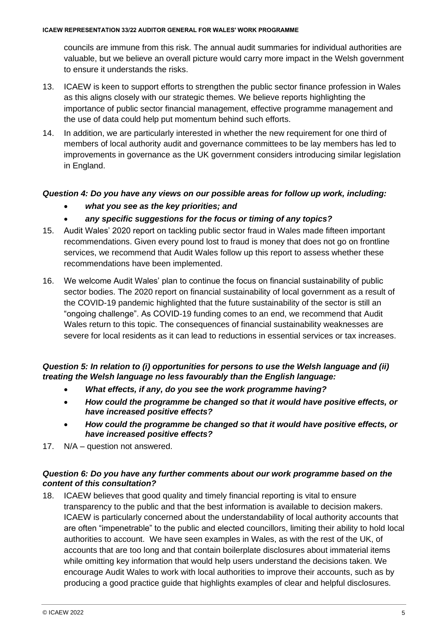councils are immune from this risk. The annual audit summaries for individual authorities are valuable, but we believe an overall picture would carry more impact in the Welsh government to ensure it understands the risks.

- 13. ICAEW is keen to support efforts to strengthen the public sector finance profession in Wales as this aligns closely with our strategic themes. We believe reports highlighting the importance of public sector financial management, effective programme management and the use of data could help put momentum behind such efforts.
- 14. In addition, we are particularly interested in whether the new requirement for one third of members of local authority audit and governance committees to be lay members has led to improvements in governance as the UK government considers introducing similar legislation in England.

# *Question 4: Do you have any views on our possible areas for follow up work, including:*

- *what you see as the key priorities; and*
- *any specific suggestions for the focus or timing of any topics?*
- 15. Audit Wales' 2020 report on tackling public sector fraud in Wales made fifteen important recommendations. Given every pound lost to fraud is money that does not go on frontline services, we recommend that Audit Wales follow up this report to assess whether these recommendations have been implemented.
- 16. We welcome Audit Wales' plan to continue the focus on financial sustainability of public sector bodies. The 2020 report on financial sustainability of local government as a result of the COVID-19 pandemic highlighted that the future sustainability of the sector is still an "ongoing challenge". As COVID-19 funding comes to an end, we recommend that Audit Wales return to this topic. The consequences of financial sustainability weaknesses are severe for local residents as it can lead to reductions in essential services or tax increases.

#### *Question 5: In relation to (i) opportunities for persons to use the Welsh language and (ii) treating the Welsh language no less favourably than the English language:*

- *What effects, if any, do you see the work programme having?*
- *How could the programme be changed so that it would have positive effects, or have increased positive effects?*
- *How could the programme be changed so that it would have positive effects, or have increased positive effects?*
- 17. N/A question not answered.

### *Question 6: Do you have any further comments about our work programme based on the content of this consultation?*

18. ICAEW believes that good quality and timely financial reporting is vital to ensure transparency to the public and that the best information is available to decision makers. ICAEW is particularly concerned about the understandability of local authority accounts that are often "impenetrable" to the public and elected councillors, limiting their ability to hold local authorities to account. We have seen examples in Wales, as with the rest of the UK, of accounts that are too long and that contain boilerplate disclosures about immaterial items while omitting key information that would help users understand the decisions taken. We encourage Audit Wales to work with local authorities to improve their accounts, such as by producing a good practice guide that highlights examples of clear and helpful disclosures.